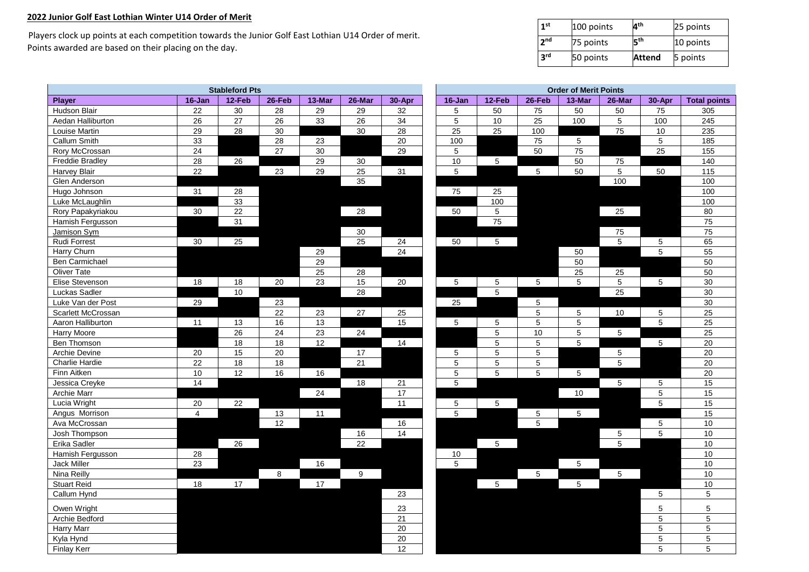## **2022 Junior Golf East Lothian Winter U14 Order of Merit**

 Players clock up points at each competition towards the Junior Golf East Lothian U14 Order of merit. Points awarded are based on their placing on the day.

| 1 <sup>st</sup> | 100 points | <b>Ath</b>    | 25 points |  |  |  |  |
|-----------------|------------|---------------|-----------|--|--|--|--|
| 2 <sub>nd</sub> | 75 points  | Էth           | 10 points |  |  |  |  |
| 3 <sup>rd</sup> | 50 points  | <b>Attend</b> | 5 points  |  |  |  |  |

| <b>Stableford Pts</b>  |                 |                 |                 |                 |                 |                 |  |                 | <b>Order of Merit Points</b> |                  |                 |             |                 |                     |  |
|------------------------|-----------------|-----------------|-----------------|-----------------|-----------------|-----------------|--|-----------------|------------------------------|------------------|-----------------|-------------|-----------------|---------------------|--|
| Player                 | 16-Jan          | 12-Feb          | 26-Feb          | 13-Mar          | 26-Mar          | 30-Apr          |  | 16-Jan          | 12-Feb                       | 26-Feb           | 13-Mar          | 26-Mar      | 30-Apr          | <b>Total points</b> |  |
| Hudson Blair           | 22              | 30              | 28              | 29              | 29              | 32              |  | 5               | 50                           | 75               | 50              | 50          | 75              | 305                 |  |
| Aedan Halliburton      | 26              | 27              | 26              | 33              | 26              | 34              |  | $5\phantom{.0}$ | $10$                         | 25               | 100             | 5           | 100             | 245                 |  |
| Louise Martin          | 29              | 28              | 30              |                 | 30              | 28              |  | 25              | 25                           | 100              |                 | 75          | 10              | 235                 |  |
| Callum Smith           | 33              |                 | 28              | 23              |                 | 20              |  | 100             |                              | 75               | $5\phantom{.0}$ |             | $\overline{5}$  | 185                 |  |
| Rory McCrossan         | $\overline{24}$ |                 | $\overline{27}$ | 30              |                 | 29              |  | $\overline{5}$  |                              | 50               | $\overline{75}$ |             | $\overline{25}$ | 155                 |  |
| <b>Freddie Bradley</b> | 28              | 26              |                 | 29              | $30\,$          |                 |  | 10              | 5                            |                  | 50              | 75          |                 | 140                 |  |
| Harvey Blair           | $\overline{22}$ |                 | 23              | 29              | 25              | 31              |  | $\overline{5}$  |                              | $\sqrt{5}$       | 50              | 5           | 50              | 115                 |  |
| Glen Anderson          |                 |                 |                 |                 | 35              |                 |  |                 |                              |                  |                 | 100         |                 | 100                 |  |
| Hugo Johnson           | 31              | 28              |                 |                 |                 |                 |  | 75              | 25                           |                  |                 |             |                 | 100                 |  |
| Luke McLaughlin        |                 | 33              |                 |                 |                 |                 |  |                 | 100                          |                  |                 |             |                 | 100                 |  |
| Rory Papakyriakou      | 30              | 22              |                 |                 | 28              |                 |  | 50              | $\overline{5}$               |                  |                 | 25          |                 | 80                  |  |
| Hamish Fergusson       |                 | $\overline{31}$ |                 |                 |                 |                 |  |                 | $\overline{75}$              |                  |                 |             |                 | 75                  |  |
| Jamison Sym            |                 |                 |                 |                 | 30              |                 |  |                 |                              |                  |                 | 75          |                 | 75                  |  |
| Rudi Forrest           | 30              | 25              |                 |                 | 25              | 24              |  | 50              | 5                            |                  |                 | 5           | $\sqrt{5}$      | 65                  |  |
| Harry Churn            |                 |                 |                 | 29              |                 | 24              |  |                 |                              |                  | 50              |             | $\overline{5}$  | 55                  |  |
| Ben Carmichael         |                 |                 |                 | 29              |                 |                 |  |                 |                              |                  | 50              |             |                 | 50                  |  |
| <b>Oliver Tate</b>     |                 |                 |                 | 25              | 28              |                 |  |                 |                              |                  | 25              | $25\,$      |                 | 50                  |  |
| Elise Stevenson        | 18              | 18              | 20              | 23              | 15              | 20              |  | $\overline{5}$  | 5                            | $5\phantom{.0}$  | $5\phantom{.0}$ | 5           | $5\phantom{.0}$ | 30                  |  |
| Luckas Sadler          |                 | 10              |                 |                 | 28              |                 |  |                 | 5                            |                  |                 | 25          |                 | 30                  |  |
| Luke Van der Post      | 29              |                 | 23              |                 |                 |                 |  | 25              |                              | 5                |                 |             |                 | 30                  |  |
| Scarlett McCrossan     |                 |                 | 22              | 23              | $27\,$          | 25              |  |                 |                              | $5\phantom{.0}$  | 5               | $10$        | 5               | 25                  |  |
| Aaron Halliburton      | 11              | 13              | 16              | $\overline{13}$ |                 | 15              |  | 5               | 5                            | $5\phantom{.0}$  | $\overline{5}$  |             | $5\phantom{.0}$ | $\overline{25}$     |  |
| Harry Moore            |                 | 26              | 24              | 23              | 24              |                 |  |                 | $\overline{5}$               | 10 <sup>10</sup> | $\,$ 5 $\,$     | 5           |                 | 25                  |  |
| Ben Thomson            |                 | $\overline{18}$ | $\overline{18}$ | $\overline{12}$ |                 | 14              |  |                 | 5                            | 5                | $\overline{5}$  |             | $5\phantom{.0}$ | 20                  |  |
| Archie Devine          | $20\,$          | 15              | 20              |                 | 17              |                 |  | 5               | 5                            | 5                |                 | 5           |                 | 20                  |  |
| Charlie Hardie         | 22              | 18              | 18              |                 | 21              |                 |  | $5\phantom{.0}$ | 5                            | $\overline{5}$   |                 | 5           |                 | 20                  |  |
| Finn Aitken            | 10              | 12              | 16              | 16              |                 |                 |  | $\overline{5}$  | $\overline{5}$               | $\sqrt{5}$       | $5\phantom{.0}$ |             |                 | 20                  |  |
| Jessica Creyke         | 14              |                 |                 |                 | 18              | 21              |  | $\mathbf 5$     |                              |                  |                 | $\mathbf 5$ | $\,$ 5 $\,$     | 15                  |  |
| Archie Marr            |                 |                 |                 | 24              |                 | 17              |  |                 |                              |                  | 10              |             | $\overline{5}$  | 15                  |  |
| Lucia Wright           | 20              | 22              |                 |                 |                 | 11              |  | 5               | $\sqrt{5}$                   |                  |                 |             | $5\phantom{.0}$ | 15                  |  |
| Angus Morrison         | $\overline{4}$  |                 | 13              | 11              |                 |                 |  | 5               |                              | $\sqrt{5}$       | $5\phantom{.0}$ |             |                 | 15                  |  |
| Ava McCrossan          |                 |                 | 12              |                 |                 | 16              |  |                 |                              | 5                |                 |             | 5               | 10                  |  |
| Josh Thompson          |                 |                 |                 |                 | 16              | 14              |  |                 |                              |                  |                 | 5           | $\sqrt{5}$      | 10                  |  |
| Erika Sadler           |                 | $\overline{26}$ |                 |                 | $\overline{22}$ |                 |  |                 | 5                            |                  |                 | 5           |                 | 10                  |  |
| Hamish Fergusson       | 28              |                 |                 |                 |                 |                 |  | 10              |                              |                  |                 |             |                 | 10                  |  |
| Jack Miller            | 23              |                 |                 | 16              |                 |                 |  | $\overline{5}$  |                              |                  | 5               |             |                 | 10                  |  |
| Nina Reilly            |                 |                 | 8               |                 | 9               |                 |  |                 |                              | $\sqrt{5}$       |                 | 5           |                 | 10                  |  |
| Stuart Reid            | 18              | 17              |                 | 17              |                 |                 |  |                 | $\sqrt{5}$                   |                  | $\sqrt{5}$      |             |                 | 10                  |  |
| Callum Hynd            |                 |                 |                 |                 |                 | 23              |  |                 |                              |                  |                 |             | 5               | 5                   |  |
| Owen Wright            |                 |                 |                 |                 |                 | 23              |  |                 |                              |                  |                 |             | 5               | 5                   |  |
| Archie Bedford         |                 |                 |                 |                 |                 | $\overline{21}$ |  |                 |                              |                  |                 |             | $\mathbf 5$     | $\sqrt{5}$          |  |
| <b>Harry Marr</b>      |                 |                 |                 |                 |                 | $\overline{20}$ |  |                 |                              |                  |                 |             | $\sqrt{5}$      | $\overline{5}$      |  |
| Kyla Hynd              |                 |                 |                 |                 |                 | 20              |  |                 |                              |                  |                 |             | 5               | 5                   |  |
| <b>Finlay Kerr</b>     |                 |                 |                 |                 |                 | $\overline{12}$ |  |                 |                              |                  |                 |             | 5               | $\mathbf 5$         |  |